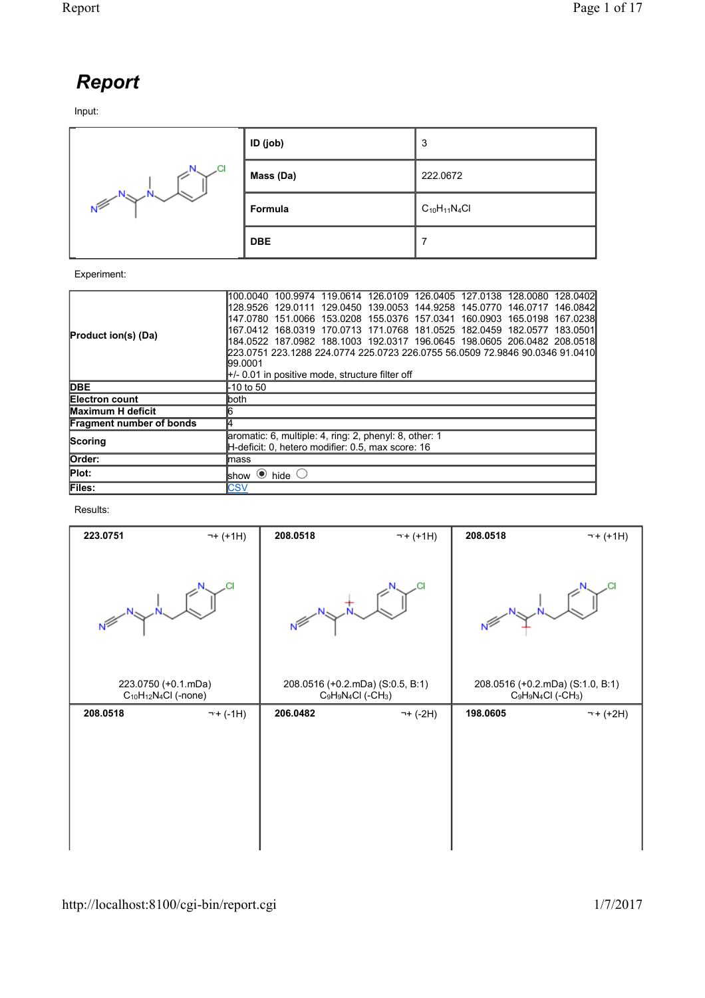## *Report*

Input:



## Experiment:

| l100.0040 100.9974 119.0614 126.0109 126.0405 127.0138 128.0080 128.0402l    |  |  |  |  |  |
|------------------------------------------------------------------------------|--|--|--|--|--|
| l128.9526 129.0111 129.0450 139.0053 144.9258 145.0770 146.0717 146.0842l    |  |  |  |  |  |
| 147.0780 151.0066 153.0208 155.0376 157.0341 160.0903 165.0198 167.0238      |  |  |  |  |  |
| l167.0412 168.0319 170.0713 171.0768 181.0525 182.0459 182.0577 183.0501l    |  |  |  |  |  |
|                                                                              |  |  |  |  |  |
| 223.0751 223.1288 224.0774 225.0723 226.0755 56.0509 72.9846 90.0346 91.0410 |  |  |  |  |  |
| 99.0001                                                                      |  |  |  |  |  |
| $\parallel$ +/- 0.01 in positive mode, structure filter off                  |  |  |  |  |  |
| -10 to 50                                                                    |  |  |  |  |  |
| lboth.                                                                       |  |  |  |  |  |
| 16                                                                           |  |  |  |  |  |
| 14                                                                           |  |  |  |  |  |
| aromatic: 6, multiple: 4, ring: 2, phenyl: 8, other: 1                       |  |  |  |  |  |
| H-deficit: 0. hetero modifier: 0.5. max score: 16                            |  |  |  |  |  |
| lmass                                                                        |  |  |  |  |  |
| $\bullet$ hide $\circ$<br>lshow                                              |  |  |  |  |  |
| <b>CSV</b>                                                                   |  |  |  |  |  |
|                                                                              |  |  |  |  |  |

## Results:

| 223.0751                                           | $\neg + (+1H)$ | 208.0518                                                              | $\neg + (+1H)$ | 208.0518                                                              | $\neg + (+1H)$ |
|----------------------------------------------------|----------------|-----------------------------------------------------------------------|----------------|-----------------------------------------------------------------------|----------------|
| N <sup>≶</sup>                                     | .CI            | Ń                                                                     |                |                                                                       |                |
| 223.0750 (+0.1.mDa)<br>$C_{10}H_{12}N_4Cl$ (-none) |                | 208.0516 (+0.2.mDa) (S:0.5, B:1)<br>$C_9H_9N_4Cl$ (-CH <sub>3</sub> ) |                | 208.0516 (+0.2.mDa) (S:1.0, B:1)<br>$C_9H_9N_4Cl$ (-CH <sub>3</sub> ) |                |
| 208.0518                                           | $\neg + (-1H)$ | 206.0482                                                              | ¬+ (-2H)       | 198.0605                                                              | $\neg + (+2H)$ |
|                                                    |                |                                                                       |                |                                                                       |                |
|                                                    |                |                                                                       |                |                                                                       |                |
|                                                    |                |                                                                       |                |                                                                       |                |
|                                                    |                |                                                                       |                |                                                                       |                |
|                                                    |                |                                                                       |                |                                                                       |                |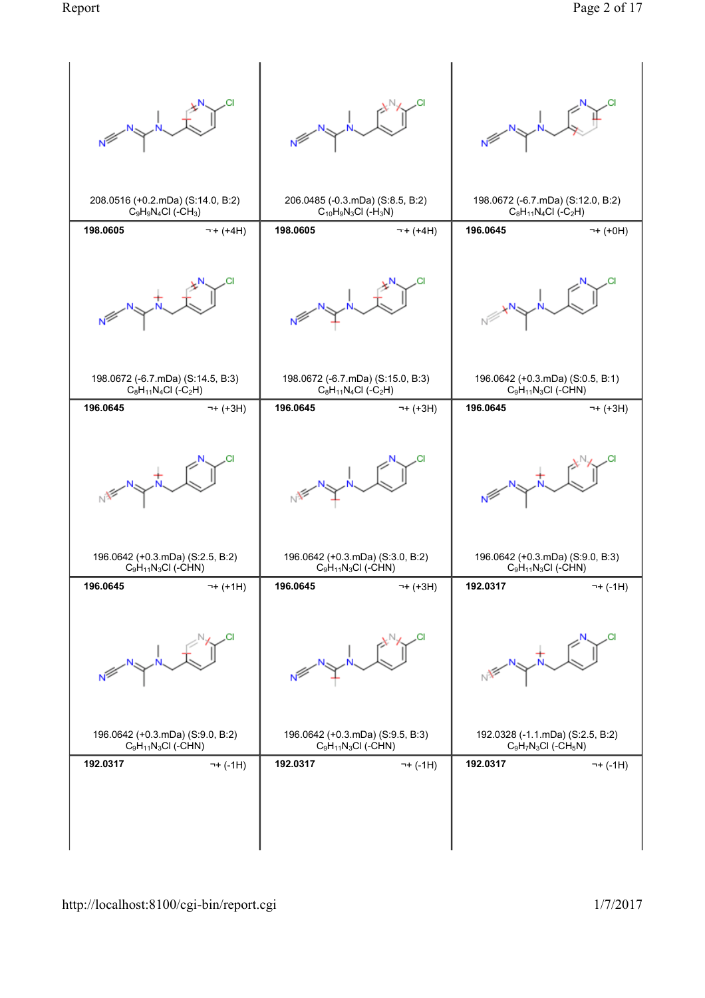|                                                         | Νŕ                                                      |                                      |  |
|---------------------------------------------------------|---------------------------------------------------------|--------------------------------------|--|
| 208.0516 (+0.2.mDa) (S:14.0, B:2)                       | 206.0485 (-0.3.mDa) (S:8.5, B:2)                        | 198.0672 (-6.7.mDa) (S:12.0, B:2)    |  |
| $C_9H_9N_4Cl$ (-CH <sub>3</sub> )                       | $C_{10}H_9N_3Cl$ (-H <sub>3</sub> N)                    | $C_8H_{11}N_4Cl$ (-C <sub>2</sub> H) |  |
| 198.0605                                                | 198.0605                                                | 196.0645                             |  |
| $\neg + (+4H)$                                          | $\neg + (+4H)$                                          | 7+ (+0H)                             |  |
|                                                         | Νŕ                                                      |                                      |  |
| 198.0672 (-6.7.mDa) (S:14.5, B:3)                       | 198.0672 (-6.7.mDa) (S:15.0, B:3)                       | 196.0642 (+0.3.mDa) (S:0.5, B:1)     |  |
| $C_8H_{11}N_4Cl$ (-C <sub>2</sub> H)                    | $C_8H_{11}N_4Cl$ (-C <sub>2</sub> H)                    | $C_9H_{11}N_3Cl$ (-CHN)              |  |
| 196.0645                                                | 196.0645                                                | 196.0645                             |  |
| $\neg + (+3H)$                                          | $\neg + (+3H)$                                          | ¬+ (+3H)                             |  |
|                                                         |                                                         |                                      |  |
| 196.0642 (+0.3.mDa) (S:2.5, B:2)                        | 196.0642 (+0.3.mDa) (S:3.0, B:2)                        | 196.0642 (+0.3.mDa) (S:9.0, B:3)     |  |
| $C_9H_{11}N_3Cl$ (-CHN)                                 | $C_9H_{11}N_3Cl$ (-CHN)                                 | $C_9H_{11}N_3Cl$ (-CHN)              |  |
| 196.0645                                                | 196.0645                                                | 192.0317                             |  |
| $\neg + (+1H)$                                          | $\neg + (+3H)$                                          | $\neg + (-1H)$                       |  |
|                                                         | Ν <sup>β</sup>                                          |                                      |  |
| 196.0642 (+0.3.mDa) (S:9.0, B:2)                        | 196.0642 (+0.3.mDa) (S:9.5, B:3)                        | 192.0328 (-1.1.mDa) (S:2.5, B:2)     |  |
| C <sub>9</sub> H <sub>11</sub> N <sub>3</sub> Cl (-CHN) | C <sub>9</sub> H <sub>11</sub> N <sub>3</sub> Cl (-CHN) | $C_9H_7N_3Cl$ (-CH <sub>5</sub> N)   |  |
| 192.0317                                                | 192.0317                                                | 192.0317                             |  |
| $\neg + (-1H)$                                          | $\neg + (-1H)$                                          | ¬+ (-1H)                             |  |
|                                                         |                                                         |                                      |  |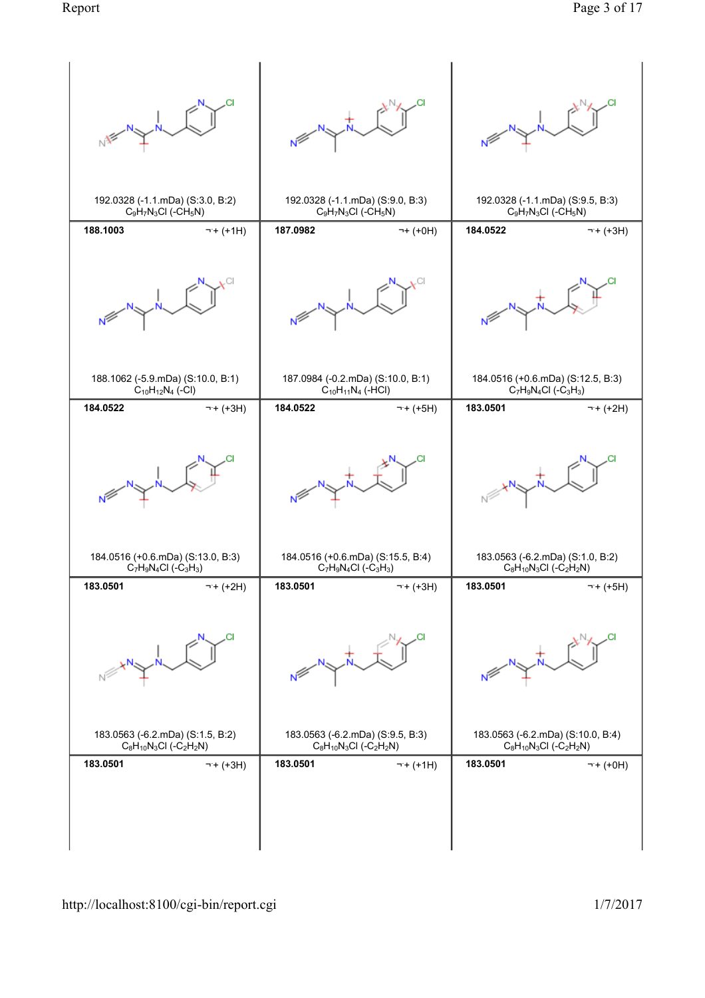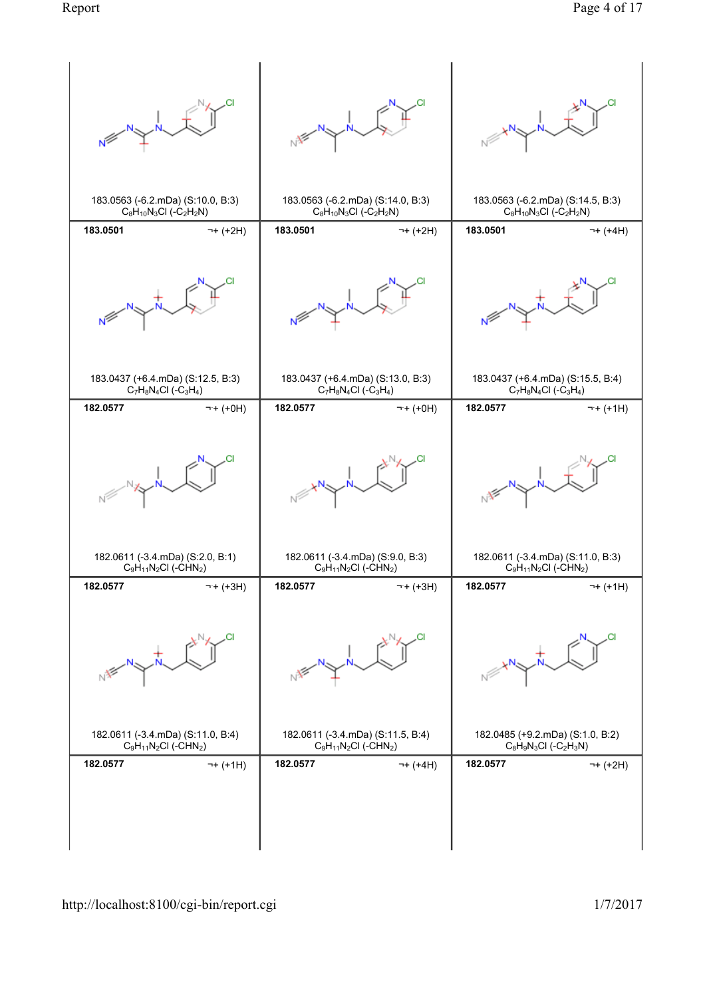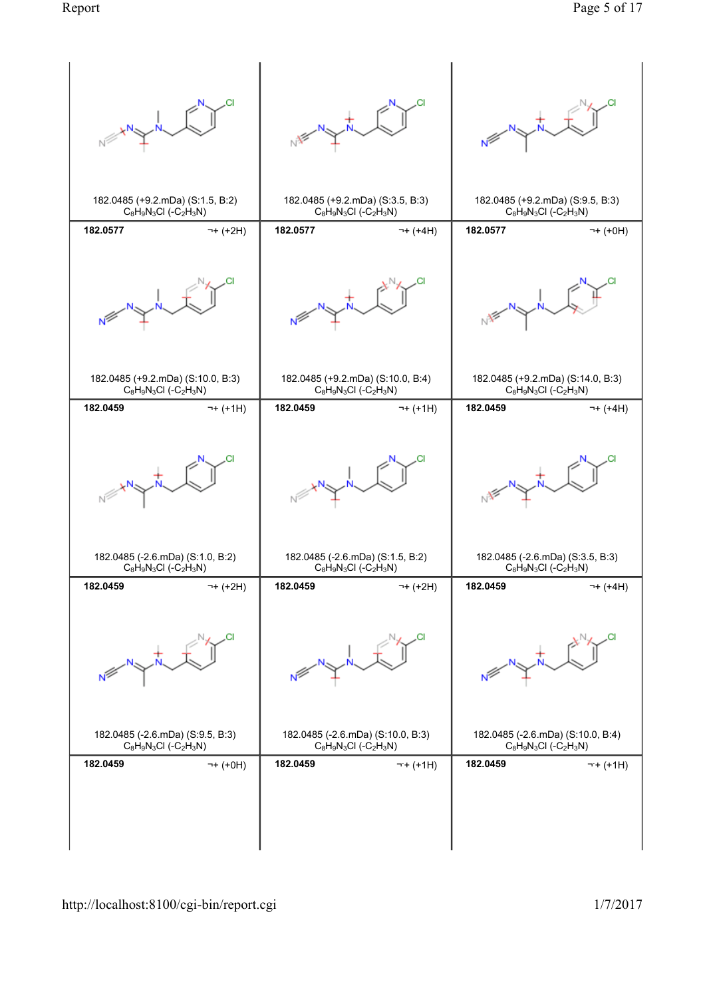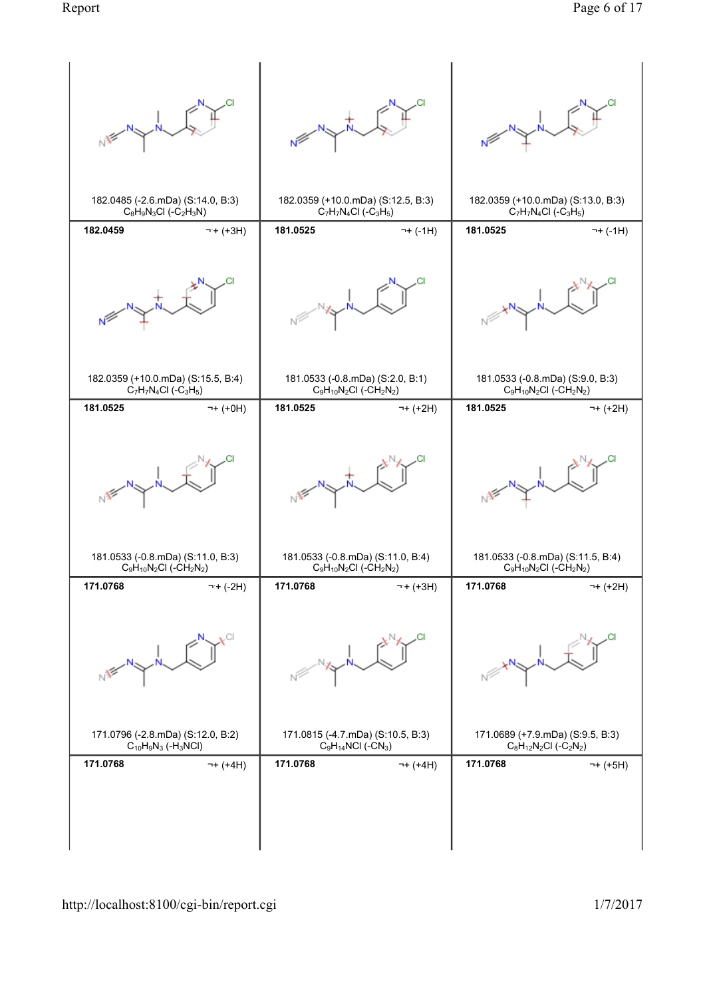![](_page_5_Figure_1.jpeg)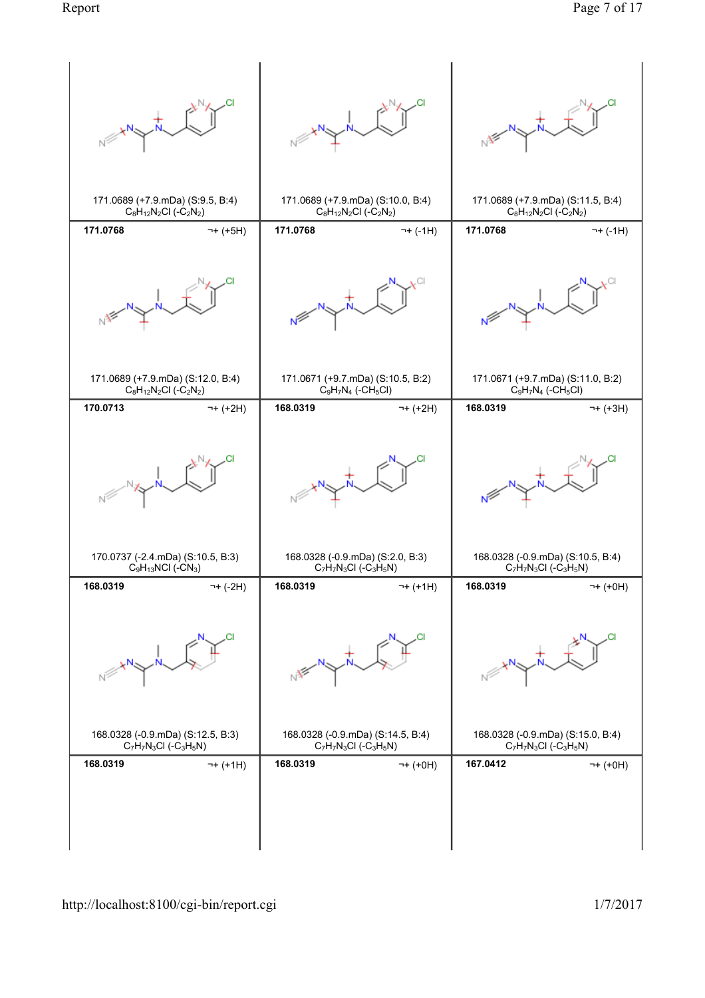![](_page_6_Figure_2.jpeg)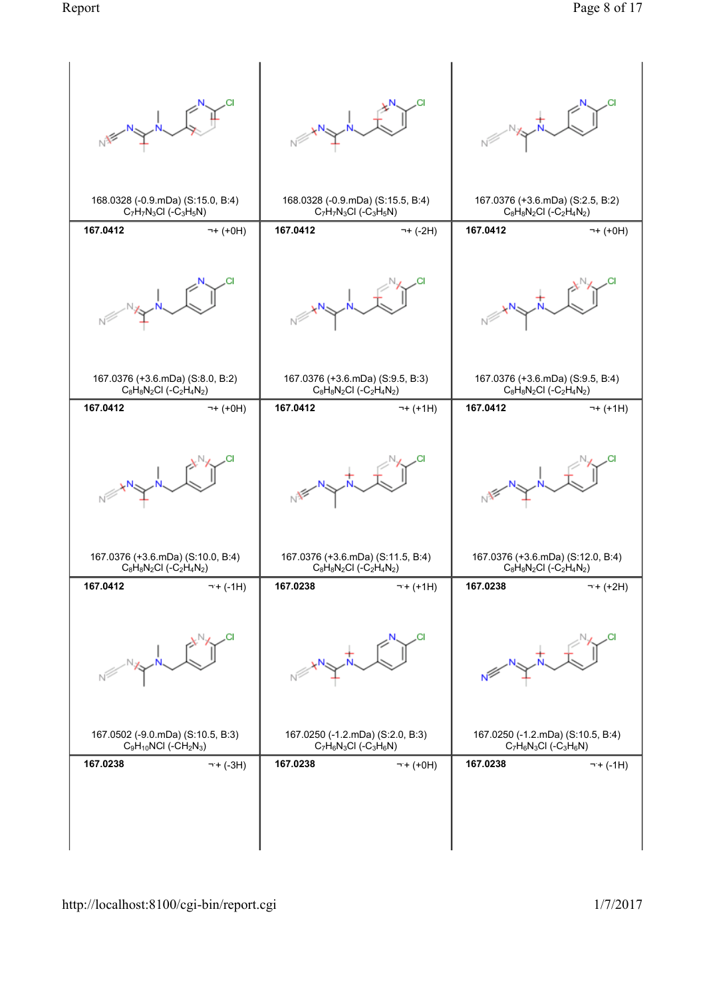![](_page_7_Figure_2.jpeg)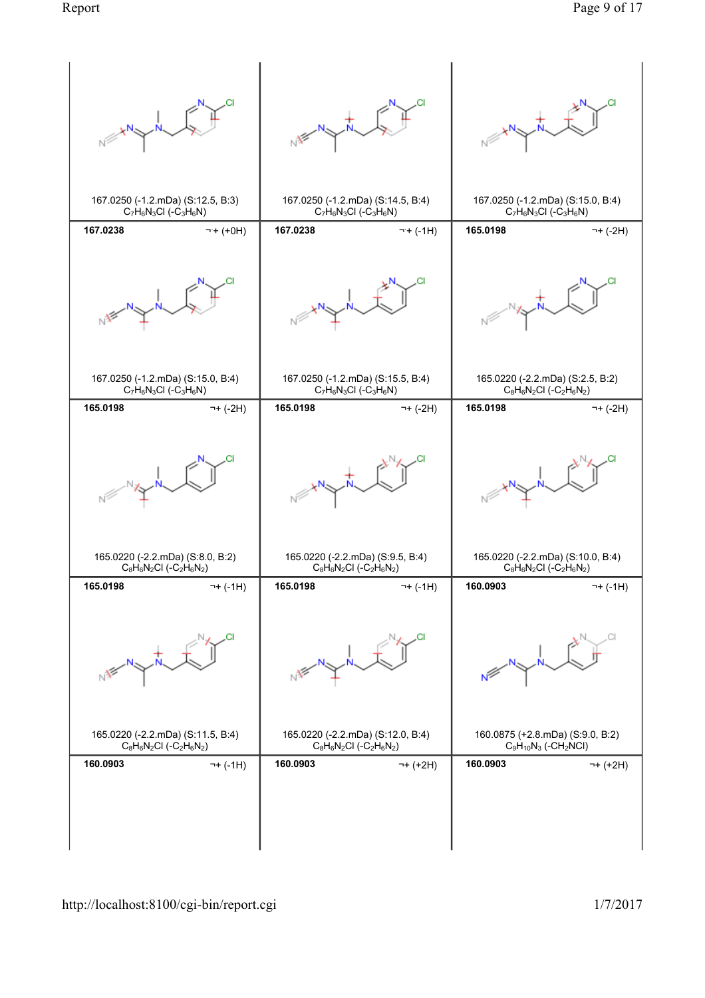![](_page_8_Figure_2.jpeg)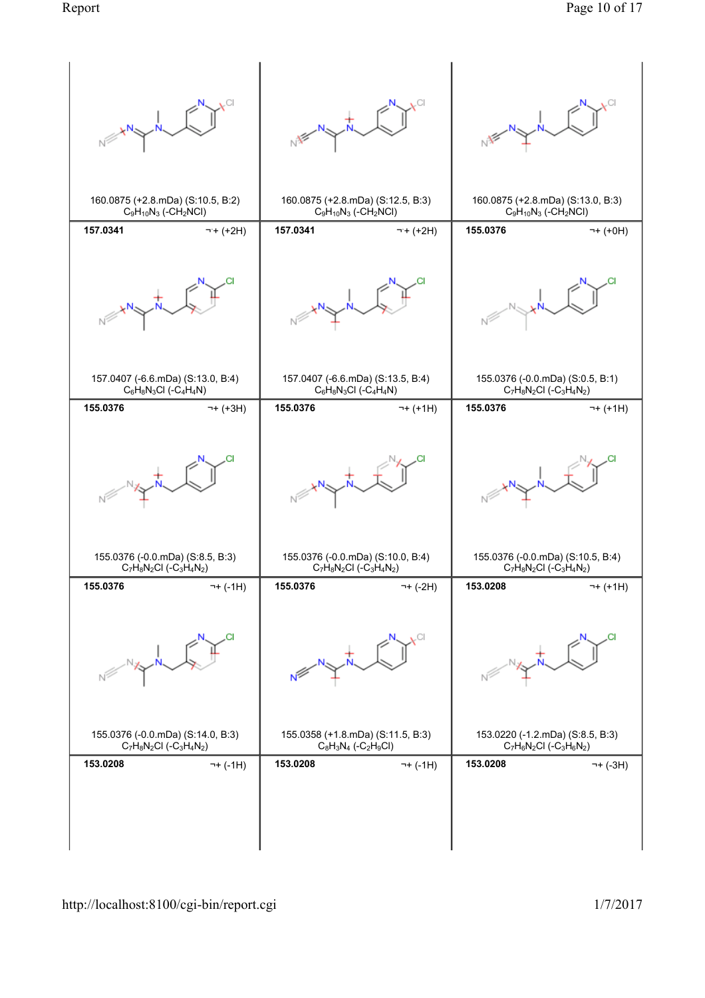![](_page_9_Figure_2.jpeg)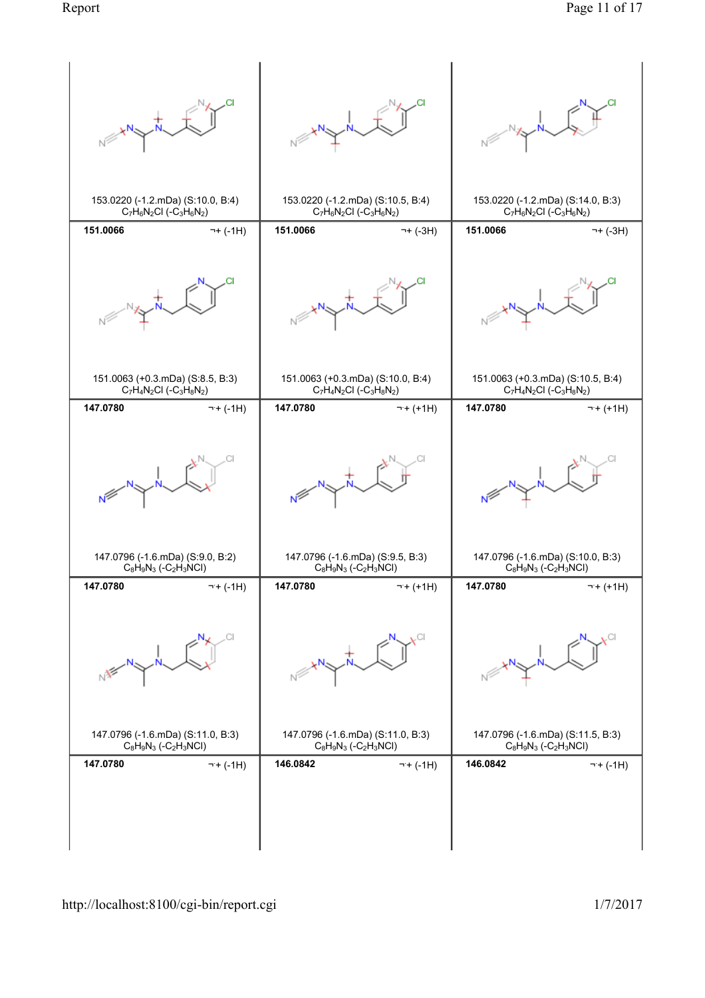![](_page_10_Figure_2.jpeg)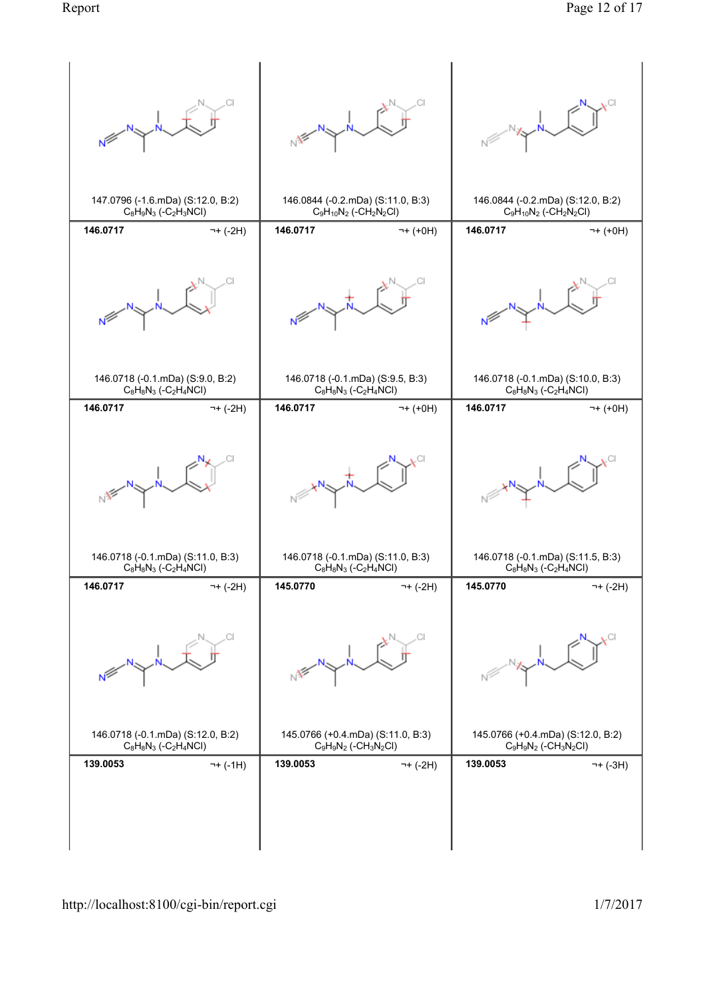![](_page_11_Figure_2.jpeg)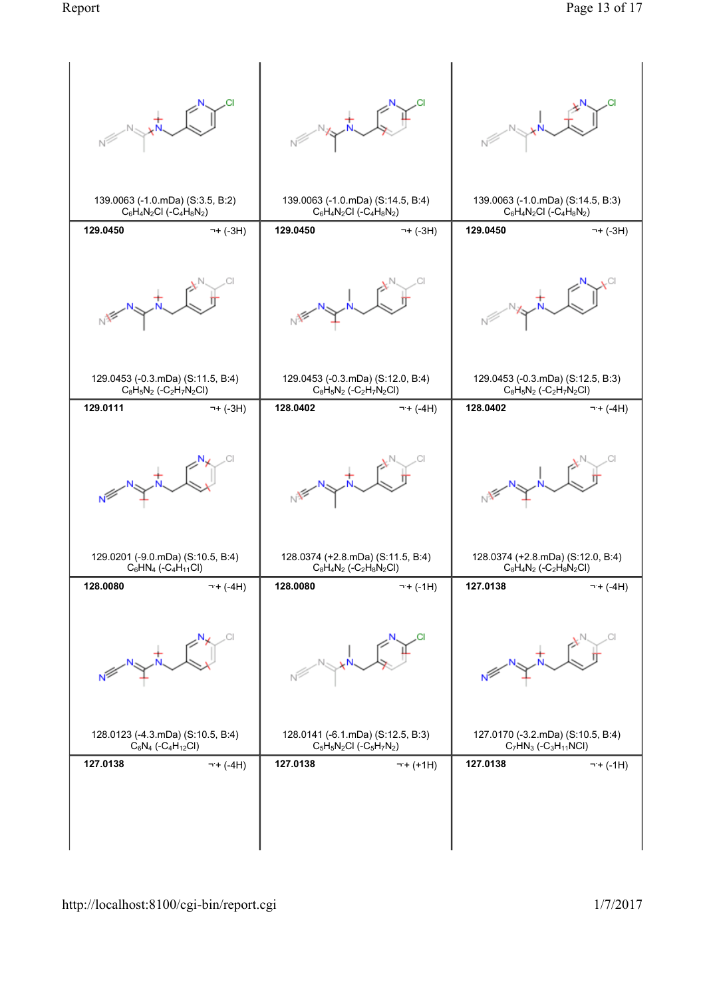![](_page_12_Figure_2.jpeg)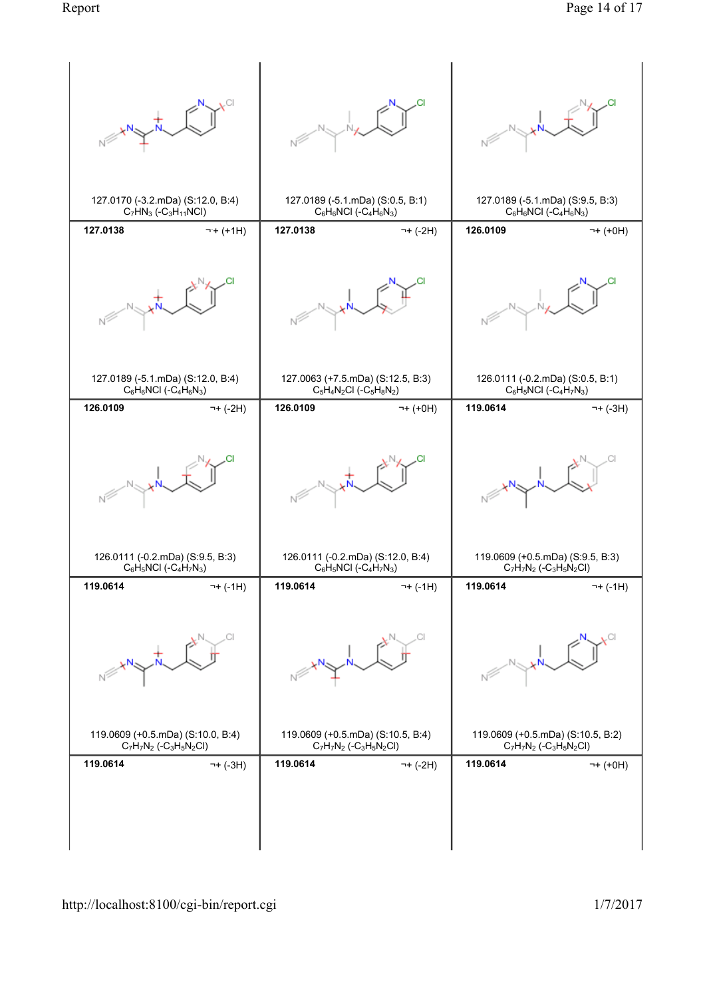![](_page_13_Figure_2.jpeg)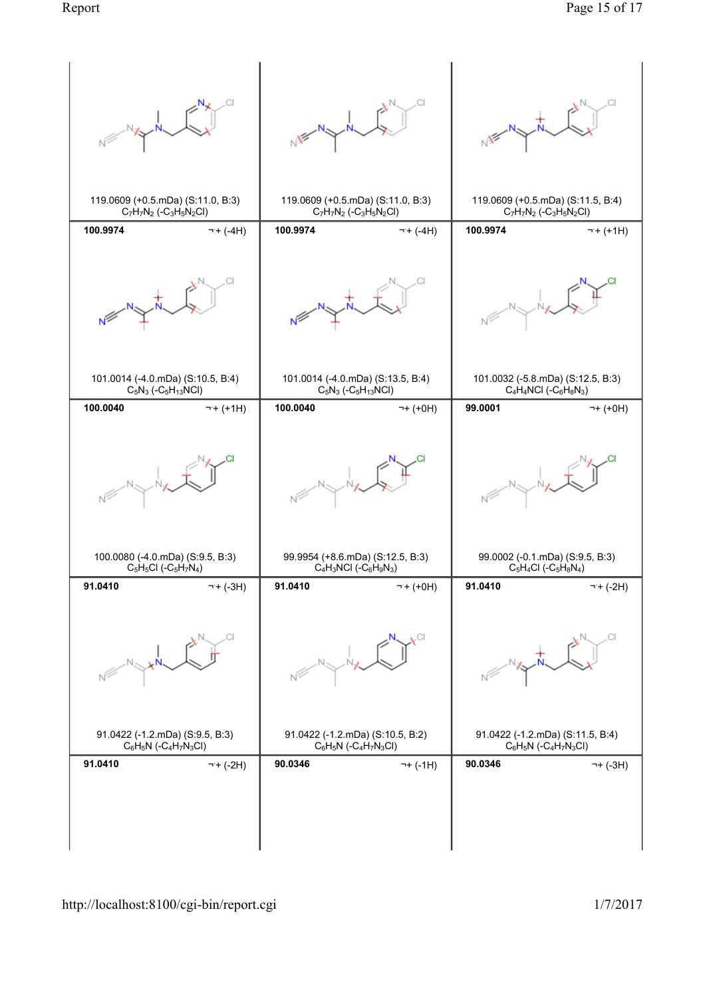![](_page_14_Figure_2.jpeg)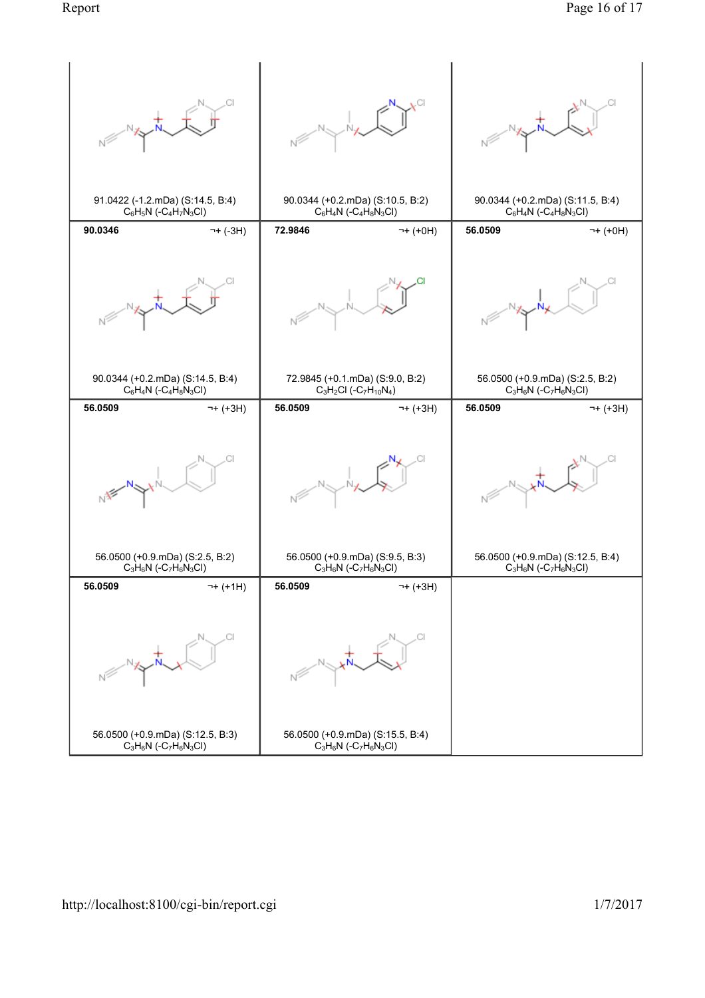![](_page_15_Figure_1.jpeg)